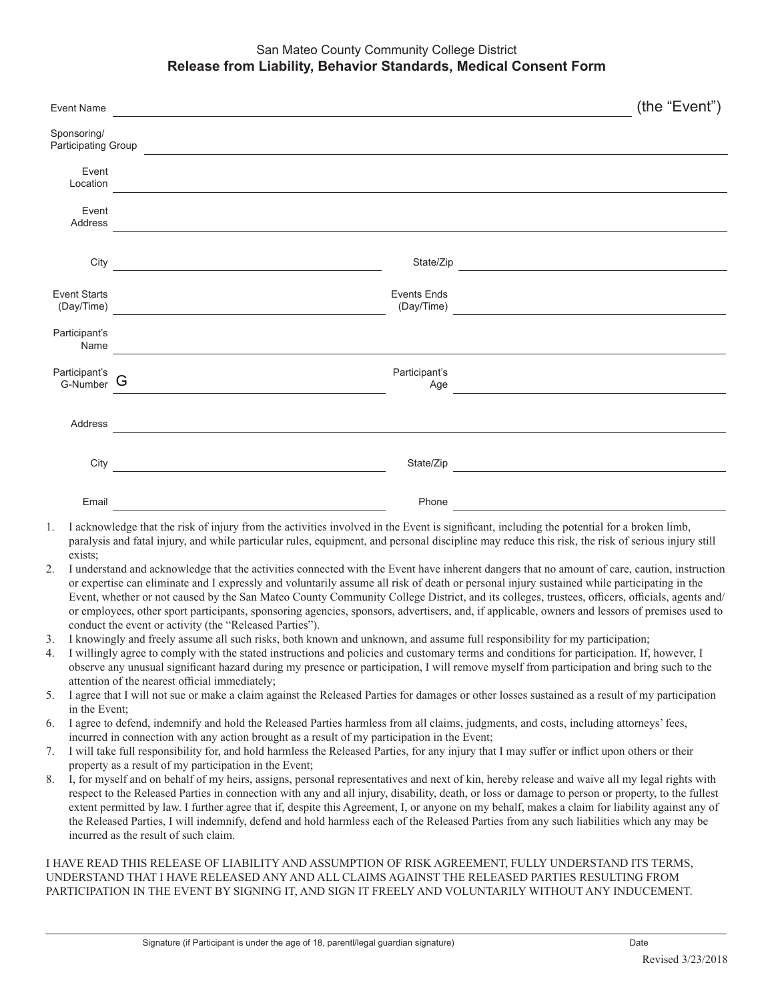## San Mateo County Community College District **Release from Liability, Behavior Standards, Medical Consent Form**

| <b>Event Name</b>                                                                                                                                                                                                                                                                                                                                                   |                                                                                                  | (the "Event")                                                    |
|---------------------------------------------------------------------------------------------------------------------------------------------------------------------------------------------------------------------------------------------------------------------------------------------------------------------------------------------------------------------|--------------------------------------------------------------------------------------------------|------------------------------------------------------------------|
| Sponsoring/<br><b>Participating Group</b>                                                                                                                                                                                                                                                                                                                           |                                                                                                  |                                                                  |
| Event<br>Location                                                                                                                                                                                                                                                                                                                                                   |                                                                                                  |                                                                  |
| Event<br>Address                                                                                                                                                                                                                                                                                                                                                    |                                                                                                  |                                                                  |
| City                                                                                                                                                                                                                                                                                                                                                                | the control of the control of the control of the control of the control of                       | State/Zip<br><u> 1980 - Andrea Station, amerikansk politik (</u> |
| <b>Event Starts</b><br>(Day/Time)                                                                                                                                                                                                                                                                                                                                   | <b>Events Ends</b><br>the control of the control of the control of the control of the control of | (Day/Time)<br><u> 1980 - Johann Barbara, martxa alemaniar a</u>  |
| Participant's<br>Name                                                                                                                                                                                                                                                                                                                                               |                                                                                                  |                                                                  |
| Participant's<br>G-Number                                                                                                                                                                                                                                                                                                                                           | Participant's<br>G                                                                               | Age                                                              |
| Address                                                                                                                                                                                                                                                                                                                                                             | <u> 1989 - Andrea Barbara, poeta esperanto-</u>                                                  |                                                                  |
| City                                                                                                                                                                                                                                                                                                                                                                | <u> 1989 - Johann Barn, mars eta biztanleria (</u>                                               | State/Zip                                                        |
| Email                                                                                                                                                                                                                                                                                                                                                               |                                                                                                  | Phone                                                            |
| I acknowledge that the risk of injury from the activities involved in the Event is significant, including the potential for a broken limb,<br>1.<br>paralysis and fatal injury, and while particular rules, equipment, and personal discipline may reduce this risk, the risk of serious injury still<br>exists;<br>the contract of the contract of the contract of |                                                                                                  |                                                                  |

- 2. I understand and acknowledge that the activities connected with the Event have inherent dangers that no amount of care, caution, instruction or expertise can eliminate and I expressly and voluntarily assume all risk of death or personal injury sustained while participating in the Event, whether or not caused by the San Mateo County Community College District, and its colleges, trustees, officers, officials, agents and/ or employees, other sport participants, sponsoring agencies, sponsors, advertisers, and, if applicable, owners and lessors of premises used to conduct the event or activity (the "Released Parties").
- 3. I knowingly and freely assume all such risks, both known and unknown, and assume full responsibility for my participation;
- 4. I willingly agree to comply with the stated instructions and policies and customary terms and conditions for participation. If, however, I observe any unusual significant hazard during my presence or participation, I will remove myself from participation and bring such to the attention of the nearest official immediately;
- 5. I agree that I will not sue or make a claim against the Released Parties for damages or other losses sustained as a result of my participation in the Event;
- 6. I agree to defend, indemnify and hold the Released Parties harmless from all claims, judgments, and costs, including attorneys' fees, incurred in connection with any action brought as a result of my participation in the Event;
- 7. I will take full responsibility for, and hold harmless the Released Parties, for any injury that I may suffer or inflict upon others or their property as a result of my participation in the Event;
- 8. I, for myself and on behalf of my heirs, assigns, personal representatives and next of kin, hereby release and waive all my legal rights with respect to the Released Parties in connection with any and all injury, disability, death, or loss or damage to person or property, to the fullest extent permitted by law. I further agree that if, despite this Agreement, I, or anyone on my behalf, makes a claim for liability against any of the Released Parties, I will indemnify, defend and hold harmless each of the Released Parties from any such liabilities which any may be incurred as the result of such claim.

I HAVE READ THIS RELEASE OF LIABILITY AND ASSUMPTION OF RISK AGREEMENT, FULLY UNDERSTAND ITS TERMS, UNDERSTAND THAT I HAVE RELEASED ANY AND ALL CLAIMS AGAINST THE RELEASED PARTIES RESULTING FROM PARTICIPATION IN THE EVENT BY SIGNING IT, AND SIGN IT FREELY AND VOLUNTARILY WITHOUT ANY INDUCEMENT.